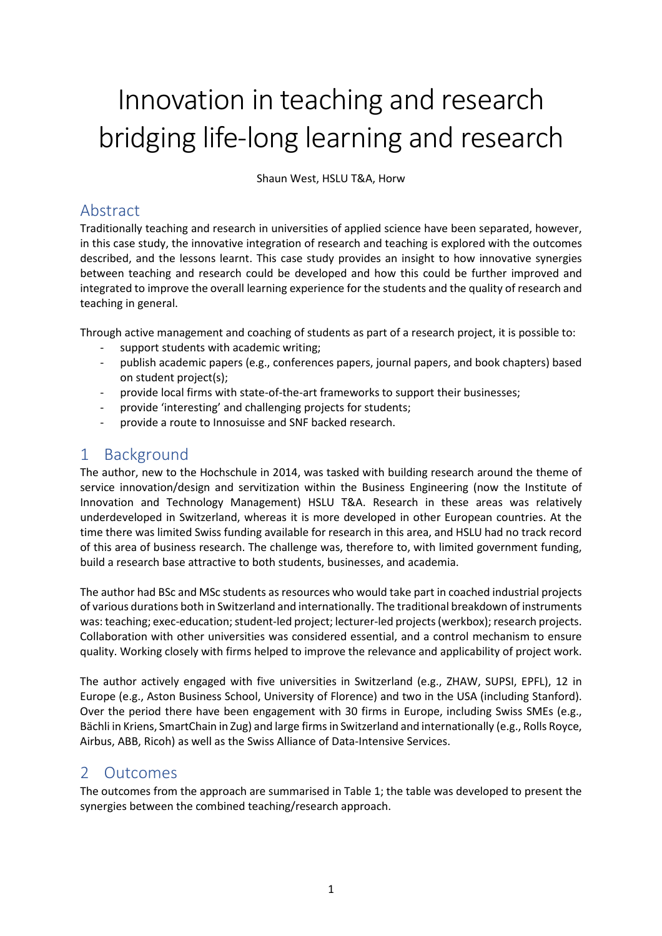# Innovation in teaching and research bridging life-long learning and research

Shaun West, HSLU T&A, Horw

### Abstract

Traditionally teaching and research in universities of applied science have been separated, however, in this case study, the innovative integration of research and teaching is explored with the outcomes described, and the lessons learnt. This case study provides an insight to how innovative synergies between teaching and research could be developed and how this could be further improved and integrated to improve the overall learning experience for the students and the quality of research and teaching in general.

Through active management and coaching of students as part of a research project, it is possible to:

- support students with academic writing;
- publish academic papers (e.g., conferences papers, journal papers, and book chapters) based on student project(s);
- provide local firms with state-of-the-art frameworks to support their businesses;
- provide 'interesting' and challenging projects for students;
- provide a route to Innosuisse and SNF backed research.

## 1 Background

The author, new to the Hochschule in 2014, was tasked with building research around the theme of service innovation/design and servitization within the Business Engineering (now the Institute of Innovation and Technology Management) HSLU T&A. Research in these areas was relatively underdeveloped in Switzerland, whereas it is more developed in other European countries. At the time there was limited Swiss funding available for research in this area, and HSLU had no track record of this area of business research. The challenge was, therefore to, with limited government funding, build a research base attractive to both students, businesses, and academia.

The author had BSc and MSc students as resources who would take part in coached industrial projects of various durations both in Switzerland and internationally. The traditional breakdown of instruments was: teaching; exec-education; student-led project; lecturer-led projects (werkbox); research projects. Collaboration with other universities was considered essential, and a control mechanism to ensure quality. Working closely with firms helped to improve the relevance and applicability of project work.

The author actively engaged with five universities in Switzerland (e.g., ZHAW, SUPSI, EPFL), 12 in Europe (e.g., Aston Business School, University of Florence) and two in the USA (including Stanford). Over the period there have been engagement with 30 firms in Europe, including Swiss SMEs (e.g., Bächli in Kriens, SmartChain in Zug) and large firms in Switzerland and internationally (e.g., Rolls Royce, Airbus, ABB, Ricoh) as well as the Swiss Alliance of Data-Intensive Services.

### 2 Outcomes

The outcomes from the approach are summarised in Table 1; the table was developed to present the synergies between the combined teaching/research approach.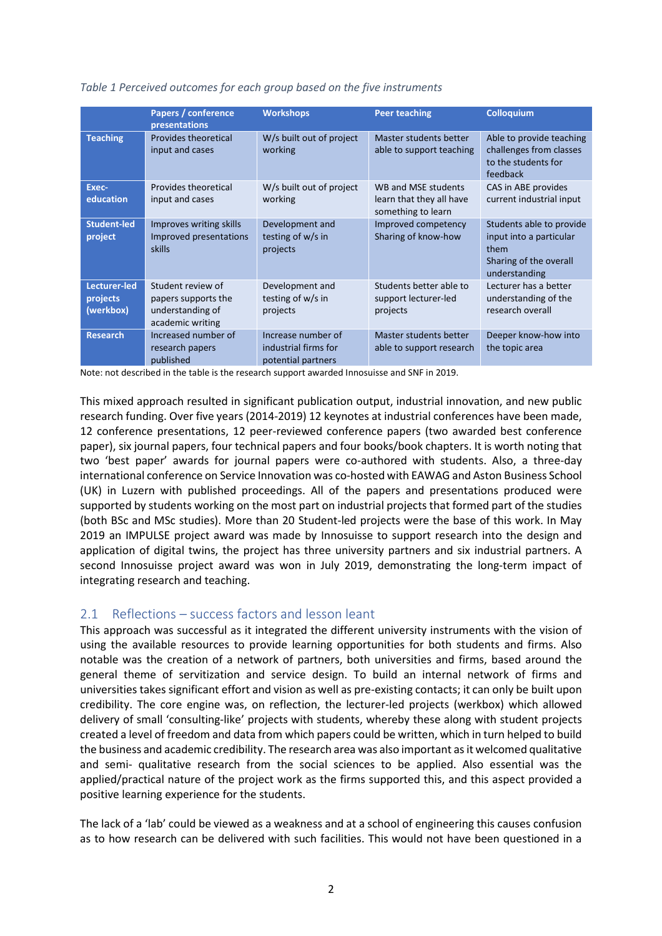|                                       | Papers / conference<br>presentations                                             | <b>Workshops</b>                                                 | <b>Peer teaching</b>                                                  | <b>Colloquium</b>                                                                                      |
|---------------------------------------|----------------------------------------------------------------------------------|------------------------------------------------------------------|-----------------------------------------------------------------------|--------------------------------------------------------------------------------------------------------|
| <b>Teaching</b>                       | Provides theoretical<br>input and cases                                          | W/s built out of project<br>working                              | Master students better<br>able to support teaching                    | Able to provide teaching<br>challenges from classes<br>to the students for<br>feedback                 |
| Exec-<br>education                    | Provides theoretical<br>input and cases                                          | W/s built out of project<br>working                              | WB and MSE students<br>learn that they all have<br>something to learn | CAS in ABE provides<br>current industrial input                                                        |
| <b>Student-led</b><br>project         | Improves writing skills<br>Improved presentations<br><b>skills</b>               | Development and<br>testing of w/s in<br>projects                 | Improved competency<br>Sharing of know-how                            | Students able to provide<br>input into a particular<br>them<br>Sharing of the overall<br>understanding |
| Lecturer-led<br>projects<br>(werkbox) | Student review of<br>papers supports the<br>understanding of<br>academic writing | Development and<br>testing of w/s in<br>projects                 | Students better able to<br>support lecturer-led<br>projects           | Lecturer has a better<br>understanding of the<br>research overall                                      |
| <b>Research</b>                       | Increased number of<br>research papers<br>published                              | Increase number of<br>industrial firms for<br>potential partners | Master students better<br>able to support research                    | Deeper know-how into<br>the topic area                                                                 |

#### *Table 1 Perceived outcomes for each group based on the five instruments*

Note: not described in the table is the research support awarded Innosuisse and SNF in 2019.

This mixed approach resulted in significant publication output, industrial innovation, and new public research funding. Over five years (2014-2019) 12 keynotes at industrial conferences have been made, 12 conference presentations, 12 peer-reviewed conference papers (two awarded best conference paper), six journal papers, four technical papers and four books/book chapters. It is worth noting that two 'best paper' awards for journal papers were co-authored with students. Also, a three-day international conference on Service Innovation was co-hosted with EAWAG and Aston Business School (UK) in Luzern with published proceedings. All of the papers and presentations produced were supported by students working on the most part on industrial projects that formed part of the studies (both BSc and MSc studies). More than 20 Student-led projects were the base of this work. In May 2019 an IMPULSE project award was made by Innosuisse to support research into the design and application of digital twins, the project has three university partners and six industrial partners. A second Innosuisse project award was won in July 2019, demonstrating the long-term impact of integrating research and teaching.

#### 2.1 Reflections – success factors and lesson leant

This approach was successful as it integrated the different university instruments with the vision of using the available resources to provide learning opportunities for both students and firms. Also notable was the creation of a network of partners, both universities and firms, based around the general theme of servitization and service design. To build an internal network of firms and universities takes significant effort and vision as well as pre-existing contacts; it can only be built upon credibility. The core engine was, on reflection, the lecturer-led projects (werkbox) which allowed delivery of small 'consulting-like' projects with students, whereby these along with student projects created a level of freedom and data from which papers could be written, which in turn helped to build the business and academic credibility. The research area was also important as it welcomed qualitative and semi- qualitative research from the social sciences to be applied. Also essential was the applied/practical nature of the project work as the firms supported this, and this aspect provided a positive learning experience for the students.

The lack of a 'lab' could be viewed as a weakness and at a school of engineering this causes confusion as to how research can be delivered with such facilities. This would not have been questioned in a